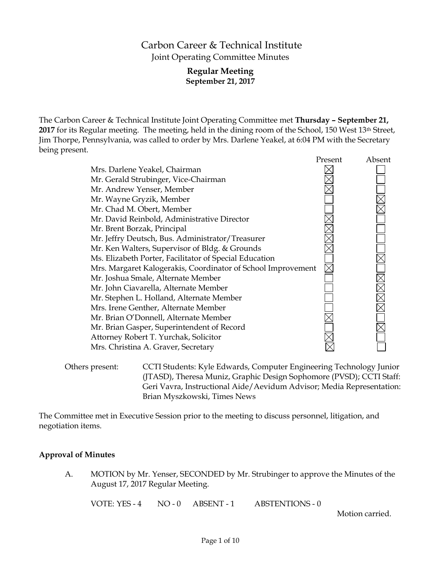## Carbon Career & Technical Institute Joint Operating Committee Minutes

## **Regular Meeting September 21, 2017**

The Carbon Career & Technical Institute Joint Operating Committee met **Thursday – September 21,**  2017 for its Regular meeting. The meeting, held in the dining room of the School, 150 West 13<sup>th</sup> Street, Jim Thorpe, Pennsylvania, was called to order by Mrs. Darlene Yeakel, at 6:04 PM with the Secretary being present.

|                                                              | Present | Absent |
|--------------------------------------------------------------|---------|--------|
| Mrs. Darlene Yeakel, Chairman                                |         |        |
| Mr. Gerald Strubinger, Vice-Chairman                         |         |        |
| Mr. Andrew Yenser, Member                                    |         |        |
| Mr. Wayne Gryzik, Member                                     |         |        |
| Mr. Chad M. Obert, Member                                    |         |        |
| Mr. David Reinbold, Administrative Director                  |         |        |
| Mr. Brent Borzak, Principal                                  |         |        |
| Mr. Jeffry Deutsch, Bus. Administrator/Treasurer             |         |        |
| Mr. Ken Walters, Supervisor of Bldg. & Grounds               |         |        |
| Ms. Elizabeth Porter, Facilitator of Special Education       |         |        |
| Mrs. Margaret Kalogerakis, Coordinator of School Improvement |         |        |
| Mr. Joshua Smale, Alternate Member                           |         |        |
| Mr. John Ciavarella, Alternate Member                        |         |        |
| Mr. Stephen L. Holland, Alternate Member                     |         |        |
| Mrs. Irene Genther, Alternate Member                         |         |        |
| Mr. Brian O'Donnell, Alternate Member                        |         |        |
| Mr. Brian Gasper, Superintendent of Record                   |         |        |
| Attorney Robert T. Yurchak, Solicitor                        |         |        |
| Mrs. Christina A. Graver, Secretary                          |         |        |
|                                                              |         |        |

Others present: CCTI Students: Kyle Edwards, Computer Engineering Technology Junior (JTASD), Theresa Muniz, Graphic Design Sophomore (PVSD); CCTI Staff: Geri Vavra, Instructional Aide/Aevidum Advisor; Media Representation: Brian Myszkowski, Times News

The Committee met in Executive Session prior to the meeting to discuss personnel, litigation, and negotiation items.

#### **Approval of Minutes**

A. MOTION by Mr. Yenser, SECONDED by Mr. Strubinger to approve the Minutes of the August 17, 2017 Regular Meeting.

VOTE: YES - 4 NO - 0 ABSENT - 1 ABSTENTIONS - 0

Motion carried.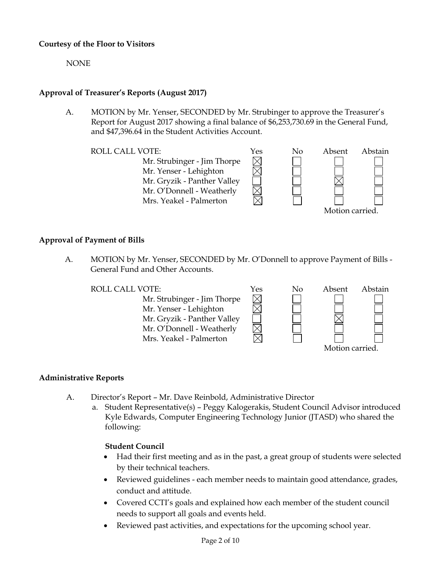## **Courtesy of the Floor to Visitors**

NONE

## **Approval of Treasurer's Reports (August 2017)**

A. MOTION by Mr. Yenser, SECONDED by Mr. Strubinger to approve the Treasurer's Report for August 2017 showing a final balance of \$6,253,730.69 in the General Fund, and \$47,396.64 in the Student Activities Account.

 $\times$ 

Mr. Strubinger - Jim Thorpe Mr. Yenser - Lehighton Mr. Gryzik - Panther Valley Mr. O'Donnell - Weatherly Mrs. Yeakel - Palmerton



## **Approval of Payment of Bills**

A. MOTION by Mr. Yenser, SECONDED by Mr. O'Donnell to approve Payment of Bills - General Fund and Other Accounts.

Mr. Strubinger - Jim Thorpe Mr. Yenser - Lehighton Mr. Gryzik - Panther Valley Mr. O'Donnell - Weatherly Mrs. Yeakel - Palmerton



## **Administrative Reports**

- A. Director's Report Mr. Dave Reinbold, Administrative Director
	- a. Student Representative(s) Peggy Kalogerakis, Student Council Advisor introduced Kyle Edwards, Computer Engineering Technology Junior (JTASD) who shared the following:

#### **Student Council**

- Had their first meeting and as in the past, a great group of students were selected by their technical teachers.
- Reviewed guidelines each member needs to maintain good attendance, grades, conduct and attitude.
- Covered CCTI's goals and explained how each member of the student council needs to support all goals and events held.
- Reviewed past activities, and expectations for the upcoming school year.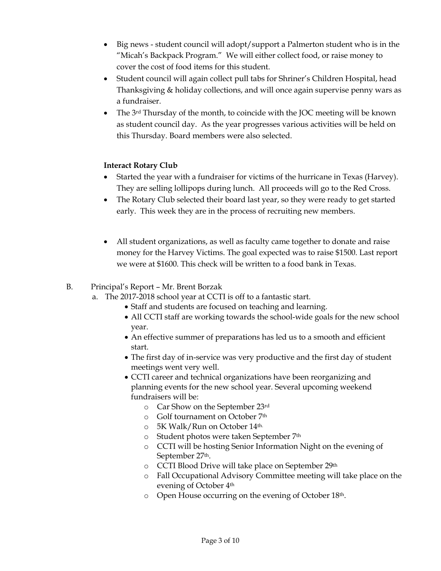- Big news student council will adopt/support a Palmerton student who is in the "Micah's Backpack Program." We will either collect food, or raise money to cover the cost of food items for this student.
- Student council will again collect pull tabs for Shriner's Children Hospital, head Thanksgiving & holiday collections, and will once again supervise penny wars as a fundraiser.
- The  $3^{rd}$  Thursday of the month, to coincide with the JOC meeting will be known as student council day. As the year progresses various activities will be held on this Thursday. Board members were also selected.

## **Interact Rotary Club**

- Started the year with a fundraiser for victims of the hurricane in Texas (Harvey). They are selling lollipops during lunch. All proceeds will go to the Red Cross.
- The Rotary Club selected their board last year, so they were ready to get started early. This week they are in the process of recruiting new members.
- All student organizations, as well as faculty came together to donate and raise money for the Harvey Victims. The goal expected was to raise \$1500. Last report we were at \$1600. This check will be written to a food bank in Texas.

B. Principal's Report – Mr. Brent Borzak

- a. The 2017-2018 school year at CCTI is off to a fantastic start.
	- Staff and students are focused on teaching and learning.
	- All CCTI staff are working towards the school-wide goals for the new school year.
	- An effective summer of preparations has led us to a smooth and efficient start.
	- The first day of in-service was very productive and the first day of student meetings went very well.
	- CCTI career and technical organizations have been reorganizing and planning events for the new school year. Several upcoming weekend fundraisers will be:
		- o Car Show on the September 23rd
		- o Golf tournament on October 7th
		- $\circ$  5K Walk/Run on October 14<sup>th.</sup>
		- o Student photos were taken September 7th
		- o CCTI will be hosting Senior Information Night on the evening of September 27th.
		- o CCTI Blood Drive will take place on September 29th
		- o Fall Occupational Advisory Committee meeting will take place on the evening of October 4th
		- o Open House occurring on the evening of October 18th.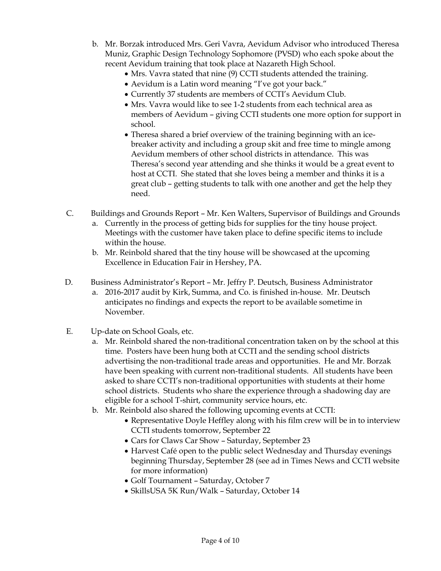- b. Mr. Borzak introduced Mrs. Geri Vavra, Aevidum Advisor who introduced Theresa Muniz, Graphic Design Technology Sophomore (PVSD) who each spoke about the recent Aevidum training that took place at Nazareth High School.
	- Mrs. Vavra stated that nine (9) CCTI students attended the training.
	- Aevidum is a Latin word meaning "I've got your back."
	- Currently 37 students are members of CCTI's Aevidum Club.
	- Mrs. Vavra would like to see 1-2 students from each technical area as members of Aevidum – giving CCTI students one more option for support in school.
	- Theresa shared a brief overview of the training beginning with an icebreaker activity and including a group skit and free time to mingle among Aevidum members of other school districts in attendance. This was Theresa's second year attending and she thinks it would be a great event to host at CCTI. She stated that she loves being a member and thinks it is a great club – getting students to talk with one another and get the help they need.
- C. Buildings and Grounds Report Mr. Ken Walters, Supervisor of Buildings and Grounds
	- a. Currently in the process of getting bids for supplies for the tiny house project. Meetings with the customer have taken place to define specific items to include within the house.
	- b. Mr. Reinbold shared that the tiny house will be showcased at the upcoming Excellence in Education Fair in Hershey, PA.
- D. Business Administrator's Report Mr. Jeffry P. Deutsch, Business Administrator
	- a. 2016-2017 audit by Kirk, Summa, and Co. is finished in-house. Mr. Deutsch anticipates no findings and expects the report to be available sometime in November.
- E. Up-date on School Goals, etc.
	- a. Mr. Reinbold shared the non-traditional concentration taken on by the school at this time. Posters have been hung both at CCTI and the sending school districts advertising the non-traditional trade areas and opportunities. He and Mr. Borzak have been speaking with current non-traditional students. All students have been asked to share CCTI's non-traditional opportunities with students at their home school districts. Students who share the experience through a shadowing day are eligible for a school T-shirt, community service hours, etc.
	- b. Mr. Reinbold also shared the following upcoming events at CCTI:
		- Representative Doyle Heffley along with his film crew will be in to interview CCTI students tomorrow, September 22
		- Cars for Claws Car Show Saturday, September 23
		- Harvest Café open to the public select Wednesday and Thursday evenings beginning Thursday, September 28 (see ad in Times News and CCTI website for more information)
		- Golf Tournament Saturday, October 7
		- SkillsUSA 5K Run/Walk Saturday, October 14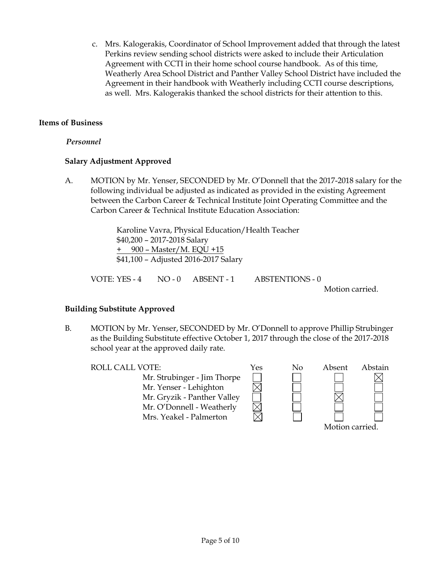c. Mrs. Kalogerakis, Coordinator of School Improvement added that through the latest Perkins review sending school districts were asked to include their Articulation Agreement with CCTI in their home school course handbook. As of this time, Weatherly Area School District and Panther Valley School District have included the Agreement in their handbook with Weatherly including CCTI course descriptions, as well. Mrs. Kalogerakis thanked the school districts for their attention to this.

## **Items of Business**

## *Personnel*

## **Salary Adjustment Approved**

A. MOTION by Mr. Yenser, SECONDED by Mr. O'Donnell that the 2017-2018 salary for the following individual be adjusted as indicated as provided in the existing Agreement between the Carbon Career & Technical Institute Joint Operating Committee and the Carbon Career & Technical Institute Education Association:

> Karoline Vavra, Physical Education/Health Teacher \$40,200 – 2017-2018 Salary + 900 – Master/M. EQU +15 \$41,100 – Adjusted 2016-2017 Salary

VOTE: YES - 4 NO - 0 ABSENT - 1 ABSTENTIONS - 0

Motion carried.

## **Building Substitute Approved**

B. MOTION by Mr. Yenser, SECONDED by Mr. O'Donnell to approve Phillip Strubinger as the Building Substitute effective October 1, 2017 through the close of the 2017-2018 school year at the approved daily rate.

Mr. Strubinger - Jim Thorpe Mr. Yenser - Lehighton Mr. Gryzik - Panther Valley Mr. O'Donnell - Weatherly Mrs. Yeakel - Palmerton



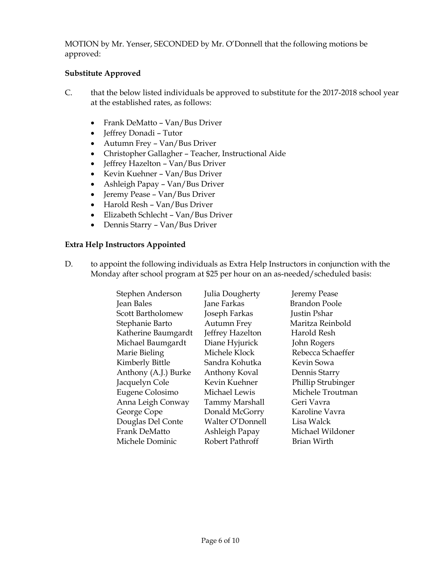MOTION by Mr. Yenser, SECONDED by Mr. O'Donnell that the following motions be approved:

## **Substitute Approved**

- C. that the below listed individuals be approved to substitute for the 2017-2018 school year at the established rates, as follows:
	- Frank DeMatto Van/Bus Driver
	- Jeffrey Donadi Tutor
	- Autumn Frey Van/Bus Driver
	- Christopher Gallagher Teacher, Instructional Aide
	- Jeffrey Hazelton Van/Bus Driver
	- Kevin Kuehner Van/Bus Driver
	- Ashleigh Papay Van/Bus Driver
	- Jeremy Pease Van/Bus Driver
	- Harold Resh Van/Bus Driver
	- Elizabeth Schlecht Van/Bus Driver
	- Dennis Starry Van/Bus Driver

#### **Extra Help Instructors Appointed**

D. to appoint the following individuals as Extra Help Instructors in conjunction with the Monday after school program at \$25 per hour on an as-needed/scheduled basis:

| Stephen Anderson     | Julia Dougherty    | Jeremy Pease         |
|----------------------|--------------------|----------------------|
| Jean Bales           | Jane Farkas        | <b>Brandon Poole</b> |
| Scott Bartholomew    | Joseph Farkas      | Justin Pshar         |
| Stephanie Barto      | <b>Autumn Frey</b> | Maritza Reinbold     |
| Katherine Baumgardt  | Jeffrey Hazelton   | Harold Resh          |
| Michael Baumgardt    | Diane Hyjurick     | John Rogers          |
| Marie Bieling        | Michele Klock      | Rebecca Schaeffer    |
| Kimberly Bittle      | Sandra Kohutka     | Kevin Sowa           |
| Anthony (A.J.) Burke | Anthony Koval      | Dennis Starry        |
| Jacquelyn Cole       | Kevin Kuehner      | Phillip Strubinger   |
| Eugene Colosimo      | Michael Lewis      | Michele Troutman     |
| Anna Leigh Conway    | Tammy Marshall     | Geri Vavra           |
| George Cope          | Donald McGorry     | Karoline Vavra       |
| Douglas Del Conte    | Walter O'Donnell   | Lisa Walck           |
| Frank DeMatto        | Ashleigh Papay     | Michael Wildoner     |
| Michele Dominic      | Robert Pathroff    | <b>Brian Wirth</b>   |
|                      |                    |                      |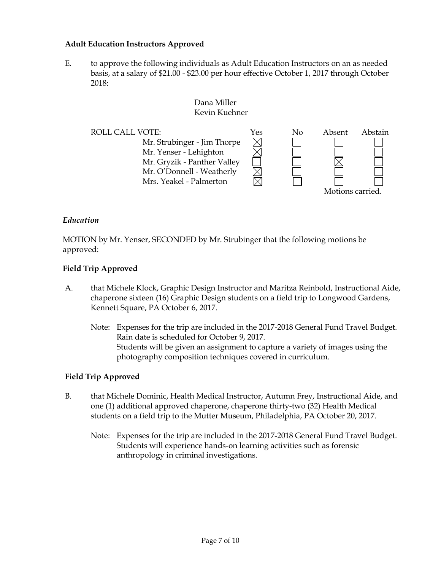#### **Adult Education Instructors Approved**

E. to approve the following individuals as Adult Education Instructors on an as needed basis, at a salary of \$21.00 - \$23.00 per hour effective October 1, 2017 through October 2018:

#### Dana Miller Kevin Kuehner

ROLL CALL VOTE:  $Yes$  No Absent Abstain Mr. Strubinger - Jim Thorpe  $\boxtimes$  $\overline{\boxtimes}$ Mr. Yenser - Lehighton Mr. Gryzik - Panther Valley Mr. O'Donnell - Weatherly Mrs. Yeakel - Palmerton

Motions carried.

#### *Education*

MOTION by Mr. Yenser, SECONDED by Mr. Strubinger that the following motions be approved:

#### **Field Trip Approved**

- A. that Michele Klock, Graphic Design Instructor and Maritza Reinbold, Instructional Aide, chaperone sixteen (16) Graphic Design students on a field trip to Longwood Gardens, Kennett Square, PA October 6, 2017.
	- Note: Expenses for the trip are included in the 2017-2018 General Fund Travel Budget. Rain date is scheduled for October 9, 2017. Students will be given an assignment to capture a variety of images using the photography composition techniques covered in curriculum.

#### **Field Trip Approved**

- B. that Michele Dominic, Health Medical Instructor, Autumn Frey, Instructional Aide, and one (1) additional approved chaperone, chaperone thirty-two (32) Health Medical students on a field trip to the Mutter Museum, Philadelphia, PA October 20, 2017.
	- Note: Expenses for the trip are included in the 2017-2018 General Fund Travel Budget. Students will experience hands-on learning activities such as forensic anthropology in criminal investigations.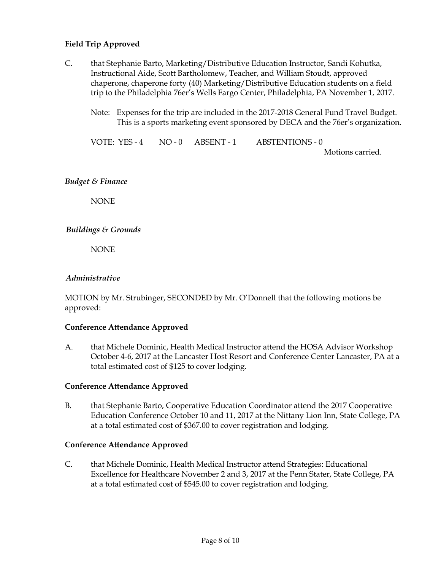## **Field Trip Approved**

- C. that Stephanie Barto, Marketing/Distributive Education Instructor, Sandi Kohutka, Instructional Aide, Scott Bartholomew, Teacher, and William Stoudt, approved chaperone, chaperone forty (40) Marketing/Distributive Education students on a field trip to the Philadelphia 76er's Wells Fargo Center, Philadelphia, PA November 1, 2017.
	- Note: Expenses for the trip are included in the 2017-2018 General Fund Travel Budget. This is a sports marketing event sponsored by DECA and the 76er's organization.

VOTE: YES - 4 NO - 0 ABSENT - 1 ABSTENTIONS - 0

Motions carried.

#### *Budget & Finance*

NONE

#### *Buildings & Grounds*

NONE

#### *Administrative*

MOTION by Mr. Strubinger, SECONDED by Mr. O'Donnell that the following motions be approved:

#### **Conference Attendance Approved**

A. that Michele Dominic, Health Medical Instructor attend the HOSA Advisor Workshop October 4-6, 2017 at the Lancaster Host Resort and Conference Center Lancaster, PA at a total estimated cost of \$125 to cover lodging.

#### **Conference Attendance Approved**

B. that Stephanie Barto, Cooperative Education Coordinator attend the 2017 Cooperative Education Conference October 10 and 11, 2017 at the Nittany Lion Inn, State College, PA at a total estimated cost of \$367.00 to cover registration and lodging.

#### **Conference Attendance Approved**

C. that Michele Dominic, Health Medical Instructor attend Strategies: Educational Excellence for Healthcare November 2 and 3, 2017 at the Penn Stater, State College, PA at a total estimated cost of \$545.00 to cover registration and lodging.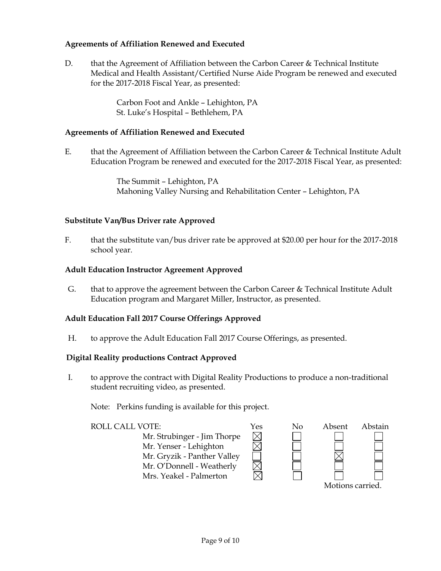## **Agreements of Affiliation Renewed and Executed**

D. that the Agreement of Affiliation between the Carbon Career & Technical Institute Medical and Health Assistant/Certified Nurse Aide Program be renewed and executed for the 2017-2018 Fiscal Year, as presented:

> Carbon Foot and Ankle – Lehighton, PA St. Luke's Hospital – Bethlehem, PA

#### **Agreements of Affiliation Renewed and Executed**

E. that the Agreement of Affiliation between the Carbon Career & Technical Institute Adult Education Program be renewed and executed for the 2017-2018 Fiscal Year, as presented:

> The Summit – Lehighton, PA Mahoning Valley Nursing and Rehabilitation Center – Lehighton, PA

#### **Substitute Van/Bus Driver rate Approved**

F. that the substitute van/bus driver rate be approved at \$20.00 per hour for the 2017-2018 school year.

#### **Adult Education Instructor Agreement Approved**

G. that to approve the agreement between the Carbon Career & Technical Institute Adult Education program and Margaret Miller, Instructor, as presented.

#### **Adult Education Fall 2017 Course Offerings Approved**

H. to approve the Adult Education Fall 2017 Course Offerings, as presented.

#### **Digital Reality productions Contract Approved**

I. to approve the contract with Digital Reality Productions to produce a non-traditional student recruiting video, as presented.

Note: Perkins funding is available for this project.

ROLL CALL VOTE:<br>
Mr. Strubinger - Jim Thorpe<br>
Mr. Yenser - Lehighton<br>
Mr. Grvzik - Panther Valley Mr. Strubinger - Jim Thorpe Mr. Yenser - Lehighton Mr. Gryzik - Panther Valley Mr. O'Donnell - Weatherly Mrs. Yeakel - Palmerton